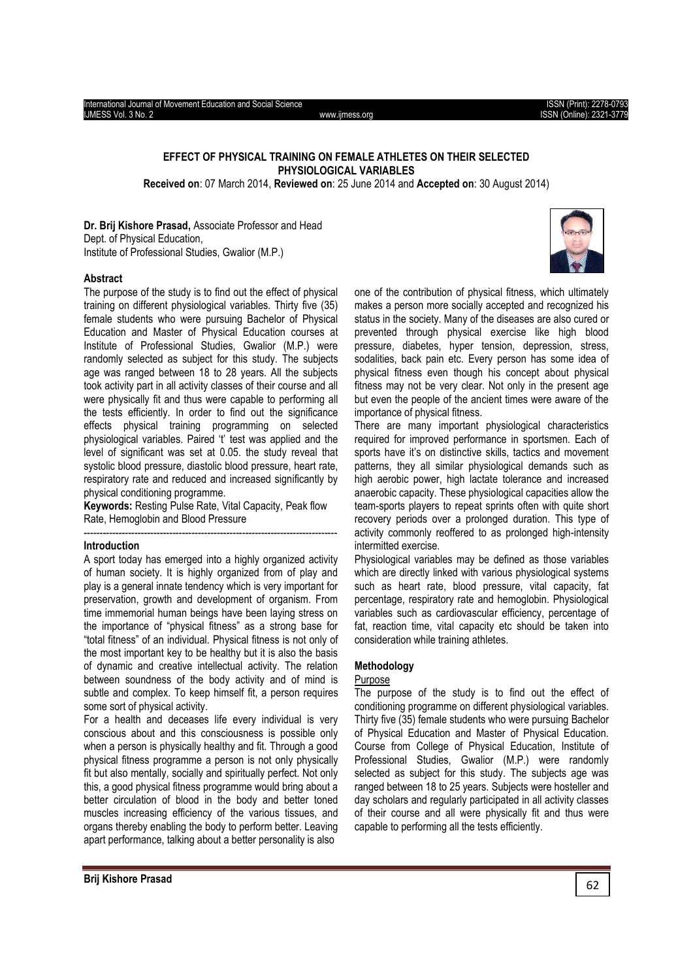# **EFFECT OF PHYSICAL TRAINING ON FEMALE ATHLETES ON THEIR SELECTED PHYSIOLOGICAL VARIABLES**

**Received on**: 07 March 2014, **Reviewed on**: 25 June 2014 and **Accepted on**: 30 August 2014)

**Dr. Brij Kishore Prasad,** Associate Professor and Head Dept. of Physical Education, Institute of Professional Studies, Gwalior (M.P.)



## **Abstract**

The purpose of the study is to find out the effect of physical training on different physiological variables. Thirty five (35) female students who were pursuing Bachelor of Physical Education and Master of Physical Education courses at Institute of Professional Studies, Gwalior (M.P.) were randomly selected as subject for this study. The subjects age was ranged between 18 to 28 years. All the subjects took activity part in all activity classes of their course and all were physically fit and thus were capable to performing all the tests efficiently. In order to find out the significance effects physical training programming on selected physiological variables. Paired 't' test was applied and the level of significant was set at 0.05. the study reveal that systolic blood pressure, diastolic blood pressure, heart rate, respiratory rate and reduced and increased significantly by physical conditioning programme.

**Keywords:** Resting Pulse Rate, Vital Capacity, Peak flow Rate, Hemoglobin and Blood Pressure --------------------------------------------------------------------------------

#### **Introduction**

A sport today has emerged into a highly organized activity of human society. It is highly organized from of play and play is a general innate tendency which is very important for preservation, growth and development of organism. From time immemorial human beings have been laying stress on the importance of "physical fitness" as a strong base for "total fitness" of an individual. Physical fitness is not only of the most important key to be healthy but it is also the basis of dynamic and creative intellectual activity. The relation between soundness of the body activity and of mind is subtle and complex. To keep himself fit, a person requires some sort of physical activity.

For a health and deceases life every individual is very conscious about and this consciousness is possible only when a person is physically healthy and fit. Through a good physical fitness programme a person is not only physically fit but also mentally, socially and spiritually perfect. Not only this, a good physical fitness programme would bring about a better circulation of blood in the body and better toned muscles increasing efficiency of the various tissues, and organs thereby enabling the body to perform better. Leaving apart performance, talking about a better personality is also

one of the contribution of physical fitness, which ultimately makes a person more socially accepted and recognized his status in the society. Many of the diseases are also cured or prevented through physical exercise like high blood pressure, diabetes, hyper tension, depression, stress, sodalities, back pain etc. Every person has some idea of physical fitness even though his concept about physical fitness may not be very clear. Not only in the present age but even the people of the ancient times were aware of the importance of physical fitness.

There are many important physiological characteristics required for improved performance in sportsmen. Each of sports have it's on distinctive skills, tactics and movement patterns, they all similar physiological demands such as high aerobic power, high lactate tolerance and increased anaerobic capacity. These physiological capacities allow the team-sports players to repeat sprints often with quite short recovery periods over a prolonged duration. This type of activity commonly reoffered to as prolonged high-intensity intermitted exercise.

Physiological variables may be defined as those variables which are directly linked with various physiological systems such as heart rate, blood pressure, vital capacity, fat percentage, respiratory rate and hemoglobin. Physiological variables such as cardiovascular efficiency, percentage of fat, reaction time, vital capacity etc should be taken into consideration while training athletes.

#### **Methodology**

#### Purpose

The purpose of the study is to find out the effect of conditioning programme on different physiological variables. Thirty five (35) female students who were pursuing Bachelor of Physical Education and Master of Physical Education. Course from College of Physical Education, Institute of Professional Studies, Gwalior (M.P.) were randomly selected as subject for this study. The subjects age was ranged between 18 to 25 years. Subjects were hosteller and day scholars and regularly participated in all activity classes of their course and all were physically fit and thus were capable to performing all the tests efficiently.